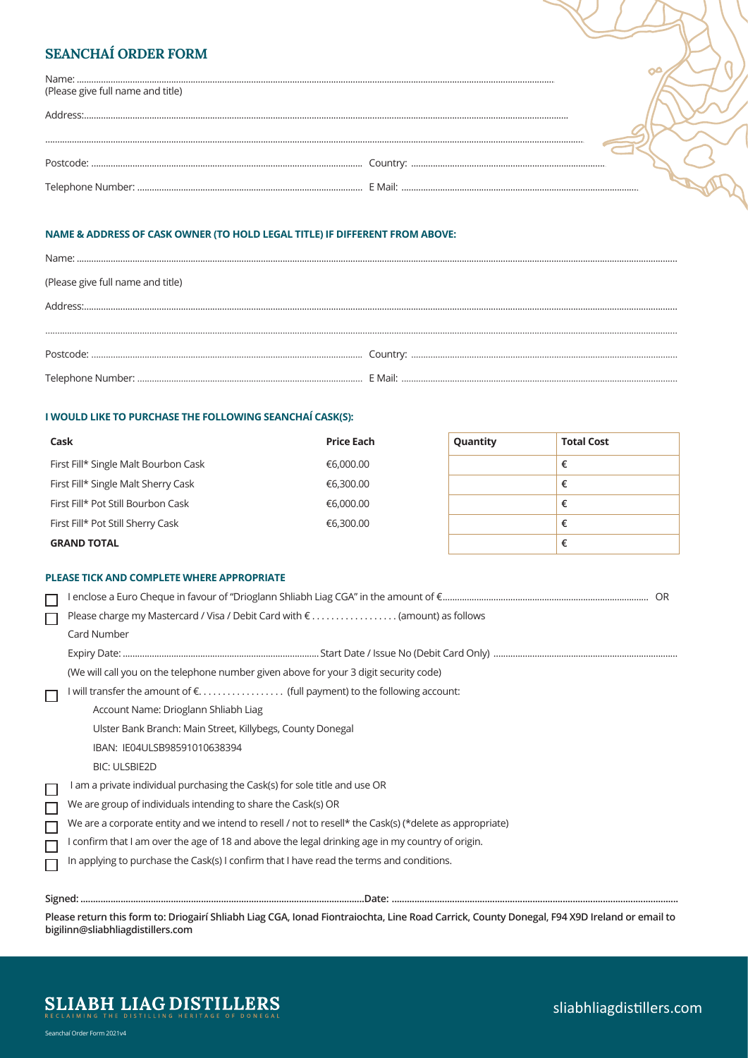| <b>SEANCHAÍ ORDER FORM</b>        |  |
|-----------------------------------|--|
| (Please give full name and title) |  |
| Sandress:                         |  |
|                                   |  |
|                                   |  |
|                                   |  |

# **NAME & ADDRESS OF CASK OWNER (TO HOLD LEGAL TITLE) IF DIFFERENT FROM ABOVE:**

| (Please give full name and title) |  |
|-----------------------------------|--|
|                                   |  |
|                                   |  |
|                                   |  |
|                                   |  |

#### **I WOULD LIKE TO PURCHASE THE FOLLOWING SEANCHAÍ CASK(S):**

| Cask                                 | <b>Price Each</b> | Quantity | <b>Total Cost</b> |
|--------------------------------------|-------------------|----------|-------------------|
| First Fill* Single Malt Bourbon Cask | €6,000.00         |          | €                 |
| First Fill* Single Malt Sherry Cask  | €6,300.00         |          | €                 |
| First Fill* Pot Still Bourbon Cask   | €6,000.00         |          | €                 |
| First Fill* Pot Still Sherry Cask    | €6,300.00         |          | €                 |
| <b>GRAND TOTAL</b>                   |                   |          |                   |

#### **PLEASE TICK AND COMPLETE WHERE APPROPRIATE**

|        | l enclose a Euro Cheque in favour of "Drioglann Shliabh Liag CGA" in the amount of €……………………………………………………………………………………… |  |
|--------|-----------------------------------------------------------------------------------------------------------------------|--|
| $\Box$ | Please charge my Mastercard / Visa / Debit Card with $\epsilon$ (amount) as follows                                   |  |
|        | Card Number                                                                                                           |  |
| П      |                                                                                                                       |  |
|        | (We will call you on the telephone number given above for your 3 digit security code)                                 |  |
|        | I will transfer the amount of € (full payment) to the following account:                                              |  |
|        | Account Name: Drioglann Shliabh Liag                                                                                  |  |
|        | Ulster Bank Branch: Main Street, Killybegs, County Donegal                                                            |  |
|        | IBAN: IE04ULSB98591010638394                                                                                          |  |
|        | <b>BIC: ULSBIE2D</b>                                                                                                  |  |
| □      | am a private individual purchasing the Cask(s) for sole title and use OR                                              |  |
| П      | We are group of individuals intending to share the Cask(s) OR                                                         |  |
| $\Box$ | We are a corporate entity and we intend to resell / not to resell* the Cask(s) (*delete as appropriate)               |  |
| П      | l confirm that I am over the age of 18 and above the legal drinking age in my country of origin.                      |  |
|        | In applying to purchase the Cask(s) I confirm that I have read the terms and conditions.                              |  |
|        |                                                                                                                       |  |
|        |                                                                                                                       |  |

**Please return this form to: Driogairí Shliabh Liag CGA, Ionad Fiontraiochta, Line Road Carrick, County Donegal, F94 X9D Ireland or email to bigilinn@sliabhliagdistillers.com**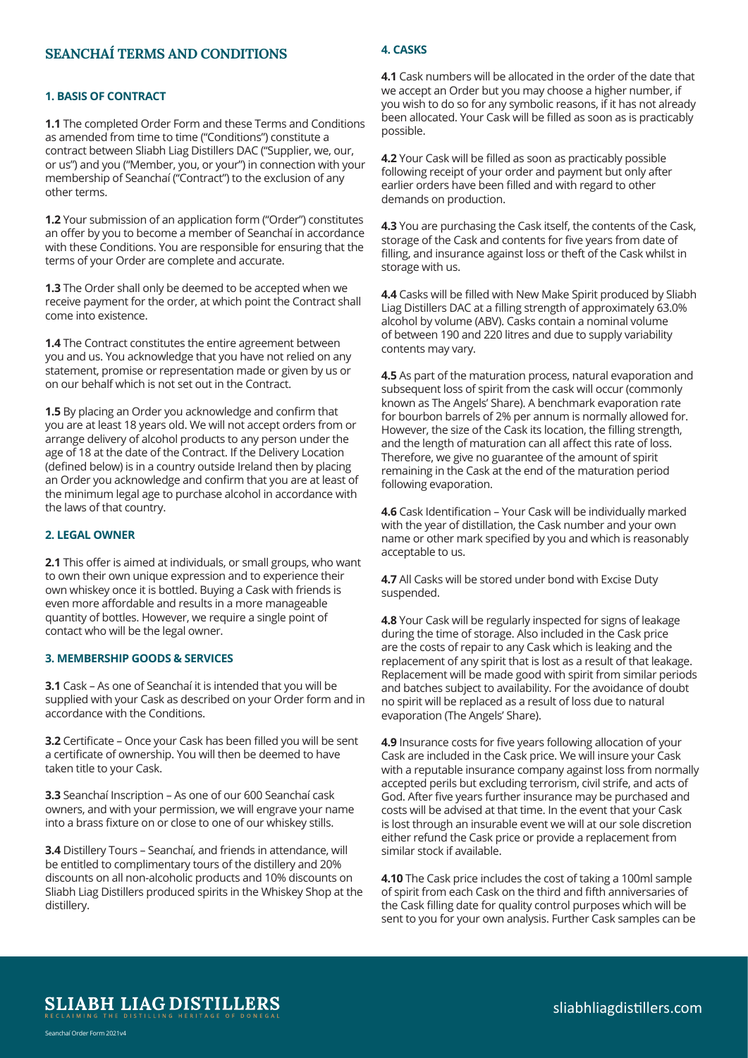# **SEANCHAÍ TERMS AND CONDITIONS**

#### **1. BASIS OF CONTRACT**

**1.1** The completed Order Form and these Terms and Conditions as amended from time to time ("Conditions") constitute a contract between Sliabh Liag Distillers DAC ("Supplier, we, our, or us") and you ("Member, you, or your") in connection with your membership of Seanchaí ("Contract") to the exclusion of any other terms.

**1.2** Your submission of an application form ("Order") constitutes an offer by you to become a member of Seanchaí in accordance with these Conditions. You are responsible for ensuring that the terms of your Order are complete and accurate.

**1.3** The Order shall only be deemed to be accepted when we receive payment for the order, at which point the Contract shall come into existence.

**1.4** The Contract constitutes the entire agreement between you and us. You acknowledge that you have not relied on any statement, promise or representation made or given by us or on our behalf which is not set out in the Contract.

**1.5** By placing an Order you acknowledge and confirm that you are at least 18 years old. We will not accept orders from or arrange delivery of alcohol products to any person under the age of 18 at the date of the Contract. If the Delivery Location (defined below) is in a country outside Ireland then by placing an Order you acknowledge and confirm that you are at least of the minimum legal age to purchase alcohol in accordance with the laws of that country.

#### **2. LEGAL OWNER**

**2.1** This offer is aimed at individuals, or small groups, who want to own their own unique expression and to experience their own whiskey once it is bottled. Buying a Cask with friends is even more affordable and results in a more manageable quantity of bottles. However, we require a single point of contact who will be the legal owner.

#### **3. MEMBERSHIP GOODS & SERVICES**

**3.1** Cask – As one of Seanchaí it is intended that you will be supplied with your Cask as described on your Order form and in accordance with the Conditions.

**3.2** Certificate – Once your Cask has been filled you will be sent a certificate of ownership. You will then be deemed to have taken title to your Cask.

**3.3** Seanchaí Inscription – As one of our 600 Seanchaí cask owners, and with your permission, we will engrave your name into a brass fixture on or close to one of our whiskey stills.

**3.4** Distillery Tours – Seanchaí, and friends in attendance, will be entitled to complimentary tours of the distillery and 20% discounts on all non-alcoholic products and 10% discounts on Sliabh Liag Distillers produced spirits in the Whiskey Shop at the distillery.

## **4. CASKS**

**4.1** Cask numbers will be allocated in the order of the date that we accept an Order but you may choose a higher number, if you wish to do so for any symbolic reasons, if it has not already been allocated. Your Cask will be filled as soon as is practicably possible.

**4.2** Your Cask will be filled as soon as practicably possible following receipt of your order and payment but only after earlier orders have been filled and with regard to other demands on production.

**4.3** You are purchasing the Cask itself, the contents of the Cask, storage of the Cask and contents for five years from date of filling, and insurance against loss or theft of the Cask whilst in storage with us.

**4.4** Casks will be filled with New Make Spirit produced by Sliabh Liag Distillers DAC at a filling strength of approximately 63.0% alcohol by volume (ABV). Casks contain a nominal volume of between 190 and 220 litres and due to supply variability contents may vary.

**4.5** As part of the maturation process, natural evaporation and subsequent loss of spirit from the cask will occur (commonly known as The Angels' Share). A benchmark evaporation rate for bourbon barrels of 2% per annum is normally allowed for. However, the size of the Cask its location, the filling strength, and the length of maturation can all affect this rate of loss. Therefore, we give no guarantee of the amount of spirit remaining in the Cask at the end of the maturation period following evaporation.

**4.6** Cask Identification – Your Cask will be individually marked with the year of distillation, the Cask number and your own name or other mark specified by you and which is reasonably acceptable to us.

**4.7** All Casks will be stored under bond with Excise Duty suspended.

**4.8** Your Cask will be regularly inspected for signs of leakage during the time of storage. Also included in the Cask price are the costs of repair to any Cask which is leaking and the replacement of any spirit that is lost as a result of that leakage. Replacement will be made good with spirit from similar periods and batches subject to availability. For the avoidance of doubt no spirit will be replaced as a result of loss due to natural evaporation (The Angels' Share).

**4.9** Insurance costs for five years following allocation of your Cask are included in the Cask price. We will insure your Cask with a reputable insurance company against loss from normally accepted perils but excluding terrorism, civil strife, and acts of God. After five years further insurance may be purchased and costs will be advised at that time. In the event that your Cask is lost through an insurable event we will at our sole discretion either refund the Cask price or provide a replacement from similar stock if available.

**4.10** The Cask price includes the cost of taking a 100ml sample of spirit from each Cask on the third and fifth anniversaries of the Cask filling date for quality control purposes which will be sent to you for your own analysis. Further Cask samples can be

**SLIABH LIAG DISTILLERS**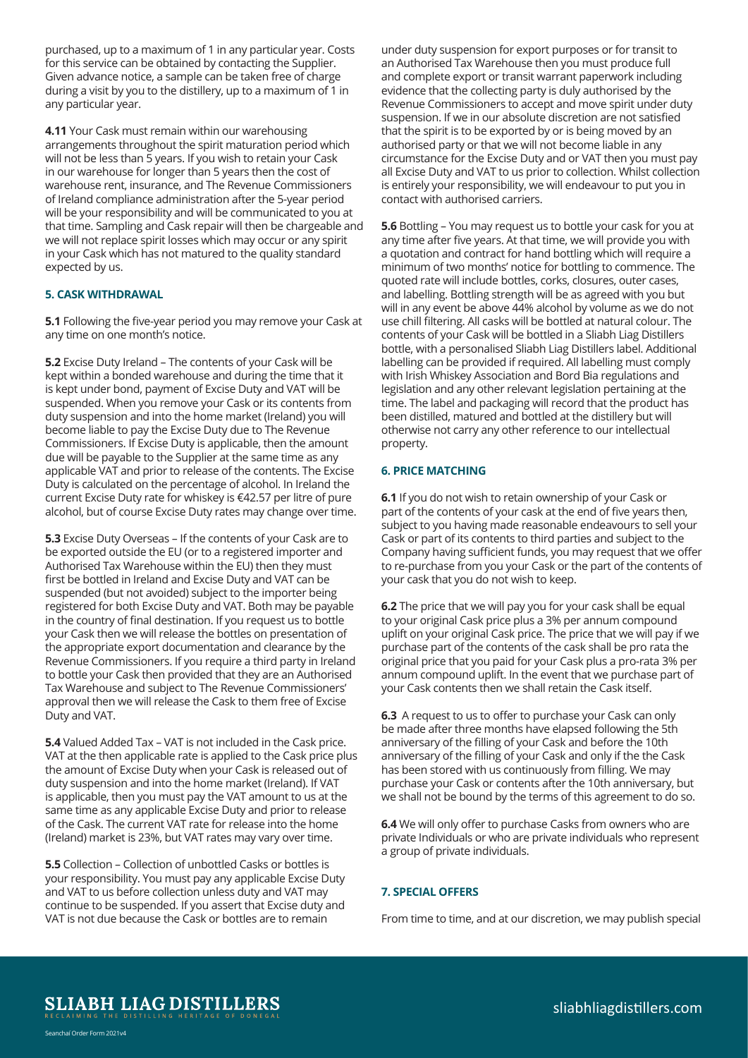purchased, up to a maximum of 1 in any particular year. Costs for this service can be obtained by contacting the Supplier. Given advance notice, a sample can be taken free of charge during a visit by you to the distillery, up to a maximum of 1 in any particular year.

**4.11** Your Cask must remain within our warehousing arrangements throughout the spirit maturation period which will not be less than 5 years. If you wish to retain your Cask in our warehouse for longer than 5 years then the cost of warehouse rent, insurance, and The Revenue Commissioners of Ireland compliance administration after the 5-year period will be your responsibility and will be communicated to you at that time. Sampling and Cask repair will then be chargeable and we will not replace spirit losses which may occur or any spirit in your Cask which has not matured to the quality standard expected by us.

## **5. CASK WITHDRAWAL**

**5.1** Following the five-year period you may remove your Cask at any time on one month's notice.

**5.2** Excise Duty Ireland – The contents of your Cask will be kept within a bonded warehouse and during the time that it is kept under bond, payment of Excise Duty and VAT will be suspended. When you remove your Cask or its contents from duty suspension and into the home market (Ireland) you will become liable to pay the Excise Duty due to The Revenue Commissioners. If Excise Duty is applicable, then the amount due will be payable to the Supplier at the same time as any applicable VAT and prior to release of the contents. The Excise Duty is calculated on the percentage of alcohol. In Ireland the current Excise Duty rate for whiskey is €42.57 per litre of pure alcohol, but of course Excise Duty rates may change over time.

**5.3** Excise Duty Overseas – If the contents of your Cask are to be exported outside the EU (or to a registered importer and Authorised Tax Warehouse within the EU) then they must first be bottled in Ireland and Excise Duty and VAT can be suspended (but not avoided) subject to the importer being registered for both Excise Duty and VAT. Both may be payable in the country of final destination. If you request us to bottle your Cask then we will release the bottles on presentation of the appropriate export documentation and clearance by the Revenue Commissioners. If you require a third party in Ireland to bottle your Cask then provided that they are an Authorised Tax Warehouse and subject to The Revenue Commissioners' approval then we will release the Cask to them free of Excise Duty and VAT.

**5.4** Valued Added Tax – VAT is not included in the Cask price. VAT at the then applicable rate is applied to the Cask price plus the amount of Excise Duty when your Cask is released out of duty suspension and into the home market (Ireland). If VAT is applicable, then you must pay the VAT amount to us at the same time as any applicable Excise Duty and prior to release of the Cask. The current VAT rate for release into the home (Ireland) market is 23%, but VAT rates may vary over time.

**5.5** Collection – Collection of unbottled Casks or bottles is your responsibility. You must pay any applicable Excise Duty and VAT to us before collection unless duty and VAT may continue to be suspended. If you assert that Excise duty and VAT is not due because the Cask or bottles are to remain

under duty suspension for export purposes or for transit to an Authorised Tax Warehouse then you must produce full and complete export or transit warrant paperwork including evidence that the collecting party is duly authorised by the Revenue Commissioners to accept and move spirit under duty suspension. If we in our absolute discretion are not satisfied that the spirit is to be exported by or is being moved by an authorised party or that we will not become liable in any circumstance for the Excise Duty and or VAT then you must pay all Excise Duty and VAT to us prior to collection. Whilst collection is entirely your responsibility, we will endeavour to put you in contact with authorised carriers.

**5.6** Bottling – You may request us to bottle your cask for you at any time after five years. At that time, we will provide you with a quotation and contract for hand bottling which will require a minimum of two months' notice for bottling to commence. The quoted rate will include bottles, corks, closures, outer cases, and labelling. Bottling strength will be as agreed with you but will in any event be above 44% alcohol by volume as we do not use chill filtering. All casks will be bottled at natural colour. The contents of your Cask will be bottled in a Sliabh Liag Distillers bottle, with a personalised Sliabh Liag Distillers label. Additional labelling can be provided if required. All labelling must comply with Irish Whiskey Association and Bord Bia regulations and legislation and any other relevant legislation pertaining at the time. The label and packaging will record that the product has been distilled, matured and bottled at the distillery but will otherwise not carry any other reference to our intellectual property.

# **6. PRICE MATCHING**

**6.1** If you do not wish to retain ownership of your Cask or part of the contents of your cask at the end of five years then, subject to you having made reasonable endeavours to sell your Cask or part of its contents to third parties and subject to the Company having sufficient funds, you may request that we offer to re-purchase from you your Cask or the part of the contents of your cask that you do not wish to keep.

**6.2** The price that we will pay you for your cask shall be equal to your original Cask price plus a 3% per annum compound uplift on your original Cask price. The price that we will pay if we purchase part of the contents of the cask shall be pro rata the original price that you paid for your Cask plus a pro-rata 3% per annum compound uplift. In the event that we purchase part of your Cask contents then we shall retain the Cask itself.

**6.3** A request to us to offer to purchase your Cask can only be made after three months have elapsed following the 5th anniversary of the filling of your Cask and before the 10th anniversary of the filling of your Cask and only if the the Cask has been stored with us continuously from filling. We may purchase your Cask or contents after the 10th anniversary, but we shall not be bound by the terms of this agreement to do so.

**6.4** We will only offer to purchase Casks from owners who are private Individuals or who are private individuals who represent a group of private individuals.

## **7. SPECIAL OFFERS**

From time to time, and at our discretion, we may publish special

**SLIABH LIAG DISTILLERS**